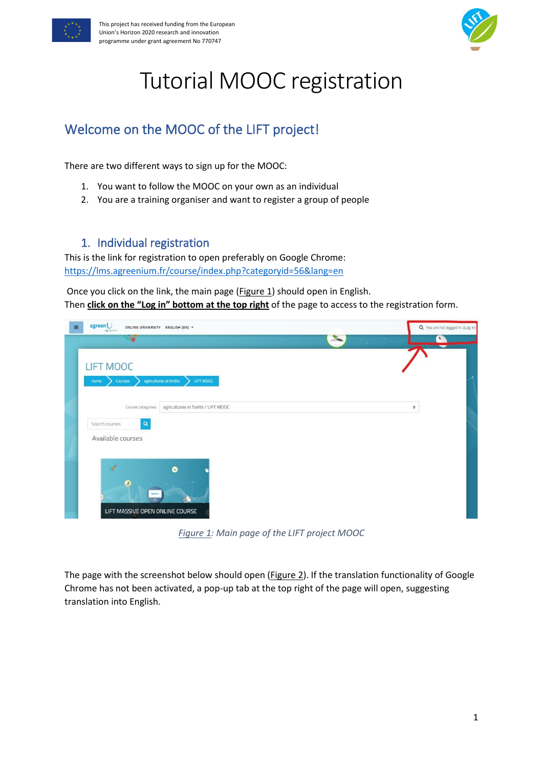



# Tutorial MOOC registration

# Welcome on the MOOC of the LIFT project!

There are two different ways to sign up for the MOOC:

- 1. You want to follow the MOOC on your own as an individual
- 2. You are a training organiser and want to register a group of people

## 1. Individual registration

This is the link for registration to open preferably on Google Chrome: <https://lms.agreenium.fr/course/index.php?categoryid=56&lang=en>

Once you click on the link, the main page [\(Figure 1\)](#page-0-0) should open in English. Then **click on the "Log in" bottom at the top right** of the page to access to the registration form.

| agreen <sup>U</sup><br>$\equiv$<br>ONLINE UNIVERSITY ENGLISH (EN) *<br>$-2$ ) agreement | Q You are not logged in. (Log in)  |
|-----------------------------------------------------------------------------------------|------------------------------------|
| $\frac{1}{\alpha}$                                                                      | $\frac{1}{\sqrt{2}}$<br>$\sqrt{2}$ |
| <b>LIFT MOOC</b><br>agricultures et forêts<br>LIFT MOOC<br>Courses<br>Home              |                                    |
| agricultures et forêts / LIFT MOOC<br>Course categories:                                | $\hat{\mathbf{v}}$                 |
| $\mathbf{Q}$<br>Search courses                                                          |                                    |
| Available courses                                                                       |                                    |
| $\sqrt{2}$<br>A<br>O<br><b>Apaint</b><br>LIFT MASSIVE OPEN ONLINE COURSE                |                                    |

*Figure 1: Main page of the LIFT project MOOC*

<span id="page-0-0"></span>The page with the screenshot below should open [\(Figure 2\)](#page-1-0). If the translation functionality of Google Chrome has not been activated, a pop-up tab at the top right of the page will open, suggesting translation into English.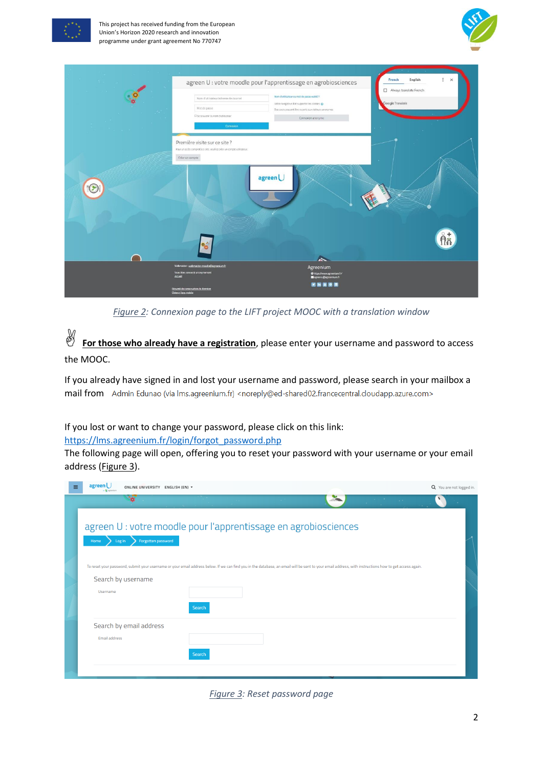

This project has received funding from the European Union's Horizon 2020 research and innovation programme under grant agreement No 770747



|   |                                                                                                                            | agreen U : votre moodle pour l'apprentissage en agrobiosciences                                                                                                         | $\vdots$ $\times$<br>English<br>French      |
|---|----------------------------------------------------------------------------------------------------------------------------|-------------------------------------------------------------------------------------------------------------------------------------------------------------------------|---------------------------------------------|
|   | Nom d'utilisateur/adresse de courriel<br>Mot de passe<br>C Se souvenir du nom d'utilisateur<br>Connexion                   | Nom d'utilisateur ou mot de passe oublié ?<br>Votre navigateur doit supporter les cookies<br>Des cours peuvent être ouverts aux visiteurs anonymes<br>Connexion anonyme | Always translate French<br>Google Translate |
|   | Première visite sur ce site ?<br>Pour un accès complet à ce site, veuillez créer un compte utilisateur.<br>Créer un compte | agreen <sup>U</sup>                                                                                                                                                     |                                             |
| P |                                                                                                                            |                                                                                                                                                                         |                                             |
|   | $\bullet$                                                                                                                  | <b>A</b>                                                                                                                                                                |                                             |
|   | Webmaster: webmaster-moodle@agreenium.fr<br>Vous êtes connecté anonymement<br><b>Accueil</b>                               | Agreenium<br>@https:/www.agreenium.fr/<br>Sagreenu@agreemium.fr                                                                                                         |                                             |
|   | Résumé de conservation de données<br>Obtenir l'app mobile                                                                  | 医固固固固                                                                                                                                                                   |                                             |

*Figure 2: Connexion page to the LIFT project MOOC with a translation window*

<span id="page-1-0"></span>**M**<br>**For those who already have a registration**, please enter your username and password to access the MOOC.

If you already have signed in and lost your username and password, please search in your mailbox a mail from Admin Edunao (via Ims.agreenium.fr) <noreply@ed-shared02.francecentral.cloudapp.azure.com>

#### If you lost or want to change your password, please click on this link:

#### [https://lms.agreenium.fr/login/forgot\\_password.php](https://lms.agreenium.fr/login/forgot_password.php)

The following page will open, offering you to reset your password with your username or your email address [\(Figure 3\)](#page-1-1).

| ≡ | agreen l<br>ONLINE UNIVERSITY ENGLISH (EN) *                                                                                                                                                          | Q You are not logged in. |
|---|-------------------------------------------------------------------------------------------------------------------------------------------------------------------------------------------------------|--------------------------|
|   | <b>SA</b><br><b>College</b>                                                                                                                                                                           |                          |
|   | agreen U : votre moodle pour l'apprentissage en agrobiosciences<br>Forgotten password<br>Home<br>Log in                                                                                               |                          |
|   | To reset your password, submit your username or your email address below. If we can find you in the database, an email will be sent to your email address, with instructions how to get access again. |                          |
|   | Search by username                                                                                                                                                                                    |                          |
|   | Username                                                                                                                                                                                              |                          |
|   | Search                                                                                                                                                                                                |                          |
|   | Search by email address                                                                                                                                                                               |                          |
|   | Email address                                                                                                                                                                                         |                          |
|   | Search                                                                                                                                                                                                |                          |
|   |                                                                                                                                                                                                       |                          |

<span id="page-1-1"></span>*Figure 3: Reset password page*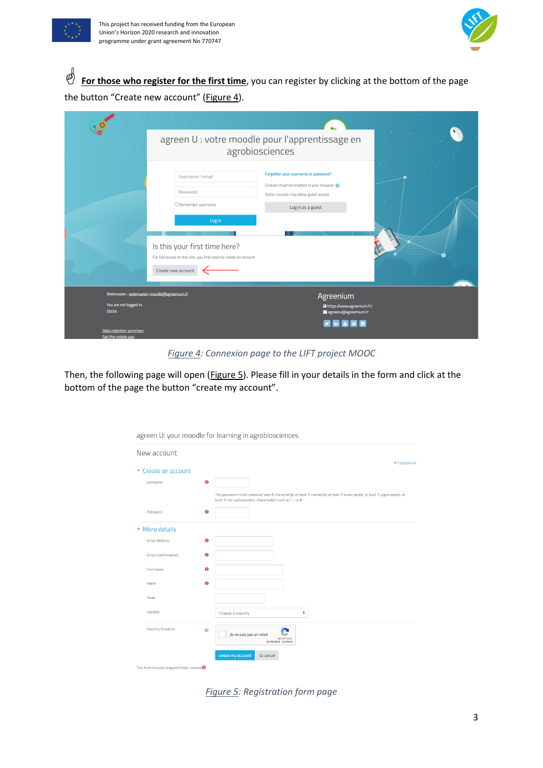



**For those who register for the first time**, you can register by clicking at the bottom of the page the button "Create new account" ([Figure 4\)](#page-2-0).

|                                                                            | agreen U : votre moodle pour l'apprentissage en<br>agrobiosciences                                                                                                                              |                                                                                                                                             |  |
|----------------------------------------------------------------------------|-------------------------------------------------------------------------------------------------------------------------------------------------------------------------------------------------|---------------------------------------------------------------------------------------------------------------------------------------------|--|
|                                                                            | Username / email<br>Password<br>$\Box$ Remember username<br>Log in<br>Is this your first time here?<br>For full access to this site, you first need to create an account.<br>Create new account | Forgotten your username or password?<br>Cookies must be enabled in your browser<br>Some courses may allow guest access<br>Log in as a guest |  |
| Webmaster: webmaster-moodle@agreenium.fr<br>You are not logged in.<br>Home |                                                                                                                                                                                                 | Agreenium<br>Ohttps://www.agreenium.fr/<br>agreenu@agreemium.fr                                                                             |  |
| Data retention summary<br>Got the mobile ann                               |                                                                                                                                                                                                 |                                                                                                                                             |  |

*Figure 4: Connexion page to the LIFT project MOOC*

<span id="page-2-0"></span>Then, the following page will open [\(Figure 5\)](#page-2-1). Please fill in your details in the form and click at the bottom of the page the button "create my account".

|                                                          |           | agreen U: your moodle for learning in agrobiosciences                                                                                                                                     |
|----------------------------------------------------------|-----------|-------------------------------------------------------------------------------------------------------------------------------------------------------------------------------------------|
| New account                                              |           | Collapse All                                                                                                                                                                              |
| $\sim$ Create an account                                 |           |                                                                                                                                                                                           |
| username                                                 | $\bf{o}$  |                                                                                                                                                                                           |
|                                                          |           | The password must contain at least 8 character(s), at least 1 number(s), at least 1 lowercase(s), at least 1 uppercase(s), at<br>least 1 non-alphanumeric character(s)) such as *, - or # |
| Password                                                 | $\bf{o}$  |                                                                                                                                                                                           |
| $\sim$ More details                                      |           |                                                                                                                                                                                           |
| <b>Email Address</b>                                     | $\bullet$ |                                                                                                                                                                                           |
| Email (confirmation)                                     | $\bf{o}$  |                                                                                                                                                                                           |
| First name                                               | $\bullet$ |                                                                                                                                                                                           |
| name                                                     | $\bf{o}$  |                                                                                                                                                                                           |
| Town                                                     |           |                                                                                                                                                                                           |
| Country                                                  |           | ÷<br>Choose a country                                                                                                                                                                     |
| <b>Security Question</b>                                 | ๏         | Je ne suis pas un robot<br>reCAPTCHA<br>Confidentialité - Conditions                                                                                                                      |
|                                                          |           | create my account<br>to cancel                                                                                                                                                            |
| This form includes required fields, marked $\mathbf 0$ . |           |                                                                                                                                                                                           |

<span id="page-2-1"></span>*Figure 5: Registration form page*